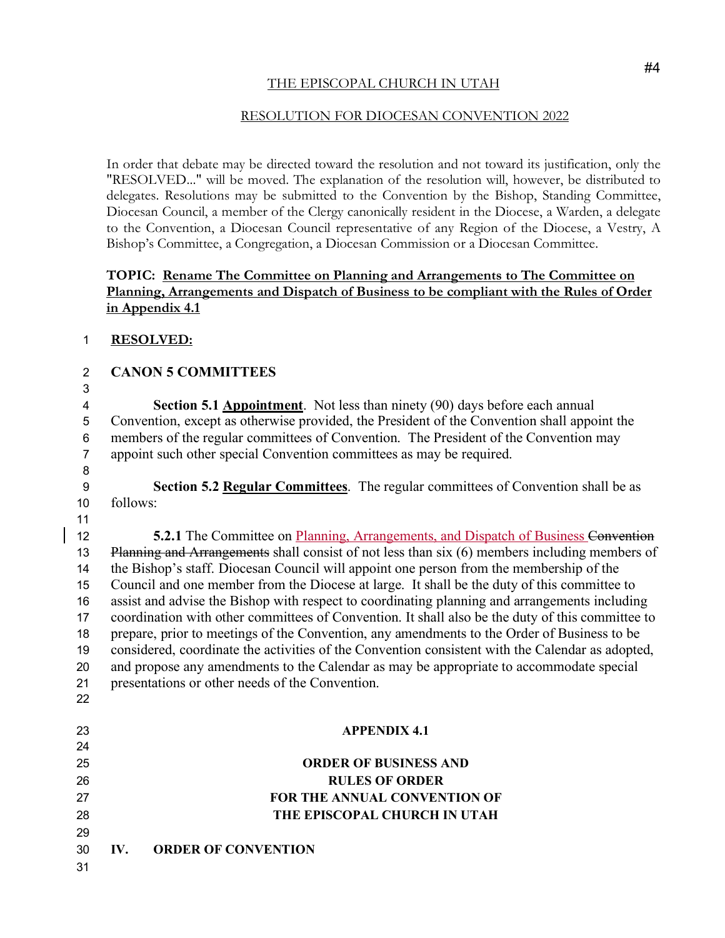### THE EPISCOPAL CHURCH IN UTAH

### RESOLUTION FOR DIOCESAN CONVENTION 2022

In order that debate may be directed toward the resolution and not toward its justification, only the "RESOLVED..." will be moved. The explanation of the resolution will, however, be distributed to delegates. Resolutions may be submitted to the Convention by the Bishop, Standing Committee, Diocesan Council, a member of the Clergy canonically resident in the Diocese, a Warden, a delegate to the Convention, a Diocesan Council representative of any Region of the Diocese, a Vestry, A Bishop's Committee, a Congregation, a Diocesan Commission or a Diocesan Committee.

## **TOPIC: Rename The Committee on Planning and Arrangements to The Committee on Planning, Arrangements and Dispatch of Business to be compliant with the Rules of Order in Appendix 4.1**

### **RESOLVED:**

# **CANON 5 COMMITTEES**

 **Section 5.1 Appointment**. Not less than ninety (90) days before each annual Convention, except as otherwise provided, the President of the Convention shall appoint the members of the regular committees of Convention. The President of the Convention may appoint such other special Convention committees as may be required.

# **Section 5.2 Regular Committees**.The regular committees of Convention shall be as follows:

**5.2.1** The Committee on Planning, Arrangements, and Dispatch of Business Convention 13 Planning and Arrangements shall consist of not less than six (6) members including members of the Bishop's staff. Diocesan Council will appoint one person from the membership of the Council and one member from the Diocese at large. It shall be the duty of this committee to assist and advise the Bishop with respect to coordinating planning and arrangements including coordination with other committees of Convention. It shall also be the duty of this committee to prepare, prior to meetings of the Convention, any amendments to the Order of Business to be considered, coordinate the activities of the Convention consistent with the Calendar as adopted, and propose any amendments to the Calendar as may be appropriate to accommodate special presentations or other needs of the Convention. 

# **APPENDIX 4.1**

## **ORDER OF BUSINESS AND RULES OF ORDER FOR THE ANNUAL CONVENTION OF THE EPISCOPAL CHURCH IN UTAH IV. ORDER OF CONVENTION**